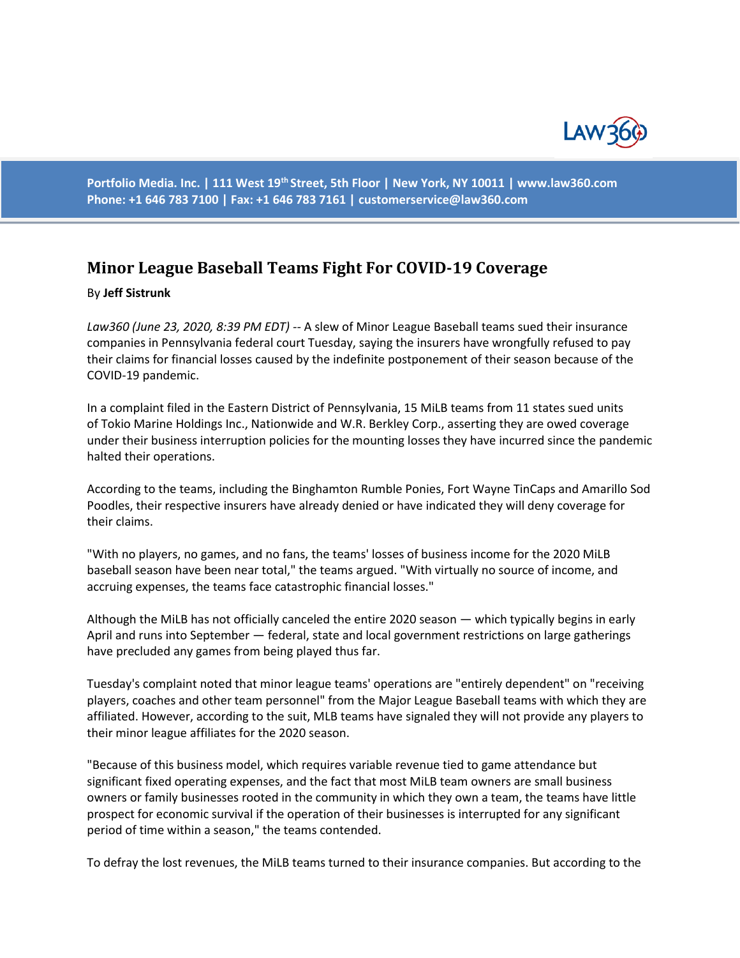

**Portfolio Media. Inc. | 111 West 19th Street, 5th Floor | New York, NY 10011 | www.law360.com Phone: +1 646 783 7100 | Fax: +1 646 783 7161 | customerservice@law360.com**

## **Minor League Baseball Teams Fight For COVID-19 Coverage**

## By **Jeff Sistrunk**

*Law360 (June 23, 2020, 8:39 PM EDT) --* A slew of Minor League Baseball teams sued their insurance companies in Pennsylvania federal court Tuesday, saying the insurers have wrongfully refused to pay their claims for financial losses caused by the indefinite postponement of their season because of the COVID-19 pandemic.

In a complaint filed in the Eastern District of Pennsylvania, 15 MiLB teams from 11 states sued units of Tokio Marine Holdings Inc., Nationwide and W.R. Berkley Corp., asserting they are owed coverage under their business interruption policies for the mounting losses they have incurred since the pandemic halted their operations.

According to the teams, including the Binghamton Rumble Ponies, Fort Wayne TinCaps and Amarillo Sod Poodles, their respective insurers have already denied or have indicated they will deny coverage for their claims.

"With no players, no games, and no fans, the teams' losses of business income for the 2020 MiLB baseball season have been near total," the teams argued. "With virtually no source of income, and accruing expenses, the teams face catastrophic financial losses."

Although the MiLB has not officially canceled the entire 2020 season — which typically begins in early April and runs into September — federal, state and local government restrictions on large gatherings have precluded any games from being played thus far.

Tuesday's complaint noted that minor league teams' operations are "entirely dependent" on "receiving players, coaches and other team personnel" from the Major League Baseball teams with which they are affiliated. However, according to the suit, MLB teams have signaled they will not provide any players to their minor league affiliates for the 2020 season.

"Because of this business model, which requires variable revenue tied to game attendance but significant fixed operating expenses, and the fact that most MiLB team owners are small business owners or family businesses rooted in the community in which they own a team, the teams have little prospect for economic survival if the operation of their businesses is interrupted for any significant period of time within a season," the teams contended.

To defray the lost revenues, the MiLB teams turned to their insurance companies. But according to the